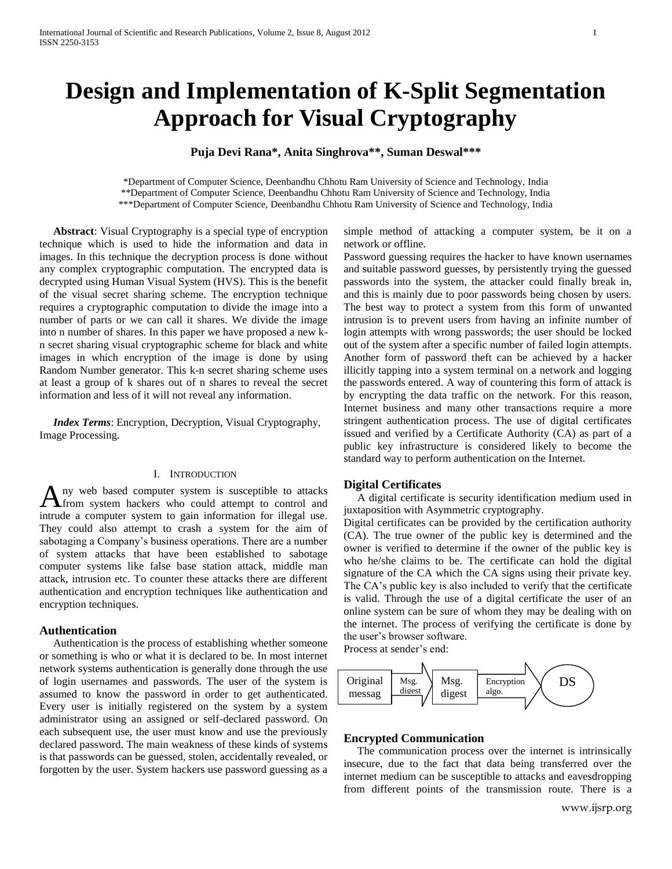# **Design and Implementation of K-Split Segmentation Approach for Visual Cryptography**

**Puja Devi Rana\*, Anita Singhrova\*\*, Suman Deswal\*\*\***

\*Department of Computer Science, Deenbandhu Chhotu Ram University of Science and Technology, India \*\*Department of Computer Science, Deenbandhu Chhotu Ram University of Science and Technology, India \*\*\*Department of Computer Science, Deenbandhu Chhotu Ram University of Science and Technology, India

 **Abstract**: Visual Cryptography is a special type of encryption technique which is used to hide the information and data in images. In this technique the decryption process is done without any complex cryptographic computation. The encrypted data is decrypted using Human Visual System (HVS). This is the benefit of the visual secret sharing scheme. The encryption technique requires a cryptographic computation to divide the image into a number of parts or we can call it shares. We divide the image into n number of shares. In this paper we have proposed a new kn secret sharing visual cryptographic scheme for black and white images in which encryption of the image is done by using Random Number generator. This k-n secret sharing scheme uses at least a group of k shares out of n shares to reveal the secret information and less of it will not reveal any information.

 *Index Terms*: Encryption, Decryption, Visual Cryptography, Image Processing.

# I. INTRODUCTION

ny web based computer system is susceptible to attacks A ny web based computer system is susceptible to attacks from system hackers who could attempt to control and intrude a computer system to gain information for illegal use. They could also attempt to crash a system for the aim of sabotaging a Company's business operations. There are a number of system attacks that have been established to sabotage computer systems like false base station attack, middle man attack, intrusion etc. To counter these attacks there are different authentication and encryption techniques like authentication and encryption techniques.

#### **Authentication**

 Authentication is the process of establishing whether someone or something is who or what it is declared to be. In most internet network systems authentication is generally done through the use of login usernames and passwords. The user of the system is assumed to know the password in order to get authenticated. Every user is initially registered on the system by a system administrator using an assigned or self-declared password. On each subsequent use, the user must know and use the previously declared password. The main weakness of these kinds of systems is that passwords can be guessed, stolen, accidentally revealed, or forgotten by the user. System hackers use password guessing as a

simple method of attacking a computer system, be it on a network or offline.

Password guessing requires the hacker to have known usernames and suitable password guesses, by persistently trying the guessed passwords into the system, the attacker could finally break in, and this is mainly due to poor passwords being chosen by users. The best way to protect a system from this form of unwanted intrusion is to prevent users from having an infinite number of login attempts with wrong passwords; the user should be locked out of the system after a specific number of failed login attempts. Another form of password theft can be achieved by a hacker illicitly tapping into a system terminal on a network and logging the passwords entered. A way of countering this form of attack is by encrypting the data traffic on the network. For this reason, Internet business and many other transactions require a more stringent authentication process. The use of digital certificates issued and verified by a Certificate Authority (CA) as part of a public key infrastructure is considered likely to become the standard way to perform authentication on the Internet.

## **Digital Certificates**

 A digital certificate is security identification medium used in juxtaposition with Asymmetric cryptography.

Digital certificates can be provided by the certification authority (CA). The true owner of the public key is determined and the owner is verified to determine if the owner of the public key is who he/she claims to be. The certificate can hold the digital signature of the CA which the CA signs using their private key. The CA"s public key is also included to verify that the certificate is valid. Through the use of a digital certificate the user of an online system can be sure of whom they may be dealing with on the internet. The process of verifying the certificate is done by the user"s browser software.

Process at sender's end:



## **Encrypted Communication**

The communication process over the internet is intrinsically insecure, due to the fact that data being transferred over the internet medium can be susceptible to attacks and eavesdropping from different points of the transmission route. There is a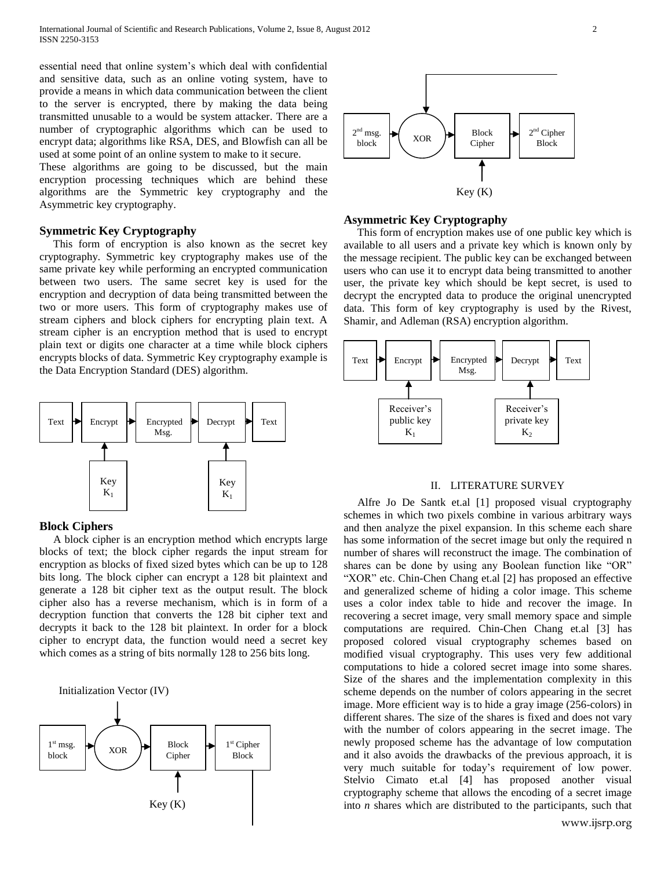essential need that online system"s which deal with confidential and sensitive data, such as an online voting system, have to provide a means in which data communication between the client to the server is encrypted, there by making the data being transmitted unusable to a would be system attacker. There are a number of cryptographic algorithms which can be used to encrypt data; algorithms like RSA, DES, and Blowfish can all be used at some point of an online system to make to it secure.

These algorithms are going to be discussed, but the main encryption processing techniques which are behind these algorithms are the Symmetric key cryptography and the Asymmetric key cryptography.

### **Symmetric Key Cryptography**

 This form of encryption is also known as the secret key cryptography. Symmetric key cryptography makes use of the same private key while performing an encrypted communication between two users. The same secret key is used for the encryption and decryption of data being transmitted between the two or more users. This form of cryptography makes use of stream ciphers and block ciphers for encrypting plain text. A stream cipher is an encryption method that is used to encrypt plain text or digits one character at a time while block ciphers encrypts blocks of data. Symmetric Key cryptography example is the Data Encryption Standard (DES) algorithm.



# **Block Ciphers**

 A block cipher is an encryption method which encrypts large blocks of text; the block cipher regards the input stream for encryption as blocks of fixed sized bytes which can be up to 128 bits long. The block cipher can encrypt a 128 bit plaintext and generate a 128 bit cipher text as the output result. The block cipher also has a reverse mechanism, which is in form of a decryption function that converts the 128 bit cipher text and decrypts it back to the 128 bit plaintext. In order for a block cipher to encrypt data, the function would need a secret key which comes as a string of bits normally 128 to 256 bits long.





#### **Asymmetric Key Cryptography**

 This form of encryption makes use of one public key which is available to all users and a private key which is known only by the message recipient. The public key can be exchanged between users who can use it to encrypt data being transmitted to another user, the private key which should be kept secret, is used to decrypt the encrypted data to produce the original unencrypted data. This form of key cryptography is used by the Rivest, Shamir, and Adleman (RSA) encryption algorithm.



# II. LITERATURE SURVEY

 Alfre Jo De Santk et.al [1] proposed visual cryptography schemes in which two pixels combine in various arbitrary ways and then analyze the pixel expansion. In this scheme each share has some information of the secret image but only the required n number of shares will reconstruct the image. The combination of shares can be done by using any Boolean function like "OR" "XOR" etc. Chin-Chen Chang et.al [2] has proposed an effective and generalized scheme of hiding a color image. This scheme uses a color index table to hide and recover the image. In recovering a secret image, very small memory space and simple computations are required. Chin-Chen Chang et.al [3] has proposed colored visual cryptography schemes based on modified visual cryptography. This uses very few additional computations to hide a colored secret image into some shares. Size of the shares and the implementation complexity in this scheme depends on the number of colors appearing in the secret image. More efficient way is to hide a gray image (256-colors) in different shares. The size of the shares is fixed and does not vary with the number of colors appearing in the secret image. The newly proposed scheme has the advantage of low computation and it also avoids the drawbacks of the previous approach, it is very much suitable for today"s requirement of low power. Stelvio Cimato et.al [4] has proposed another visual cryptography scheme that allows the encoding of a secret image into *n* shares which are distributed to the participants, such that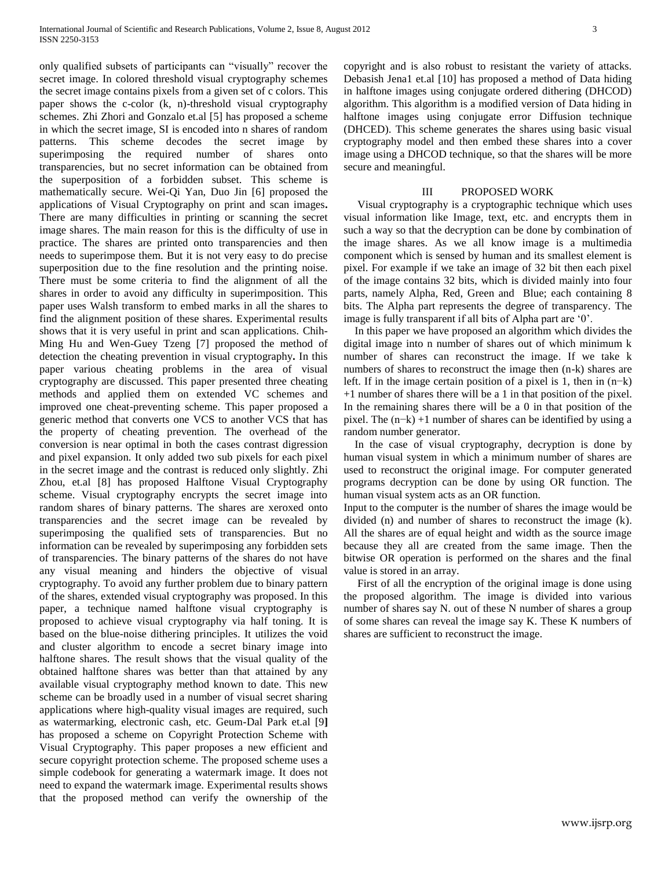only qualified subsets of participants can "visually" recover the secret image. In colored threshold visual cryptography schemes the secret image contains pixels from a given set of c colors. This paper shows the c-color (k, n)-threshold visual cryptography schemes. Zhi Zhori and Gonzalo et.al [5] has proposed a scheme in which the secret image, SI is encoded into n shares of random patterns. This scheme decodes the secret image by superimposing the required number of shares onto transparencies, but no secret information can be obtained from the superposition of a forbidden subset. This scheme is mathematically secure. Wei-Qi Yan, Duo Jin [6] proposed the applications of Visual Cryptography on print and scan images**.** There are many difficulties in printing or scanning the secret image shares. The main reason for this is the difficulty of use in practice. The shares are printed onto transparencies and then needs to superimpose them. But it is not very easy to do precise superposition due to the fine resolution and the printing noise. There must be some criteria to find the alignment of all the shares in order to avoid any difficulty in superimposition. This paper uses Walsh transform to embed marks in all the shares to find the alignment position of these shares. Experimental results shows that it is very useful in print and scan applications. Chih-Ming Hu and Wen-Guey Tzeng [7] proposed the method of detection the cheating prevention in visual cryptography**.** In this paper various cheating problems in the area of visual cryptography are discussed. This paper presented three cheating methods and applied them on extended VC schemes and improved one cheat-preventing scheme. This paper proposed a generic method that converts one VCS to another VCS that has the property of cheating prevention. The overhead of the conversion is near optimal in both the cases contrast digression and pixel expansion. It only added two sub pixels for each pixel in the secret image and the contrast is reduced only slightly. Zhi Zhou, et.al [8] has proposed Halftone Visual Cryptography scheme. Visual cryptography encrypts the secret image into random shares of binary patterns. The shares are xeroxed onto transparencies and the secret image can be revealed by superimposing the qualified sets of transparencies. But no information can be revealed by superimposing any forbidden sets of transparencies. The binary patterns of the shares do not have any visual meaning and hinders the objective of visual cryptography. To avoid any further problem due to binary pattern of the shares, extended visual cryptography was proposed. In this paper, a technique named halftone visual cryptography is proposed to achieve visual cryptography via half toning. It is based on the blue-noise dithering principles. It utilizes the void and cluster algorithm to encode a secret binary image into halftone shares. The result shows that the visual quality of the obtained halftone shares was better than that attained by any available visual cryptography method known to date. This new scheme can be broadly used in a number of visual secret sharing applications where high-quality visual images are required, such as watermarking, electronic cash, etc. Geum-Dal Park et.al [9**]**  has proposed a scheme on Copyright Protection Scheme with Visual Cryptography. This paper proposes a new efficient and secure copyright protection scheme. The proposed scheme uses a simple codebook for generating a watermark image. It does not need to expand the watermark image. Experimental results shows that the proposed method can verify the ownership of the

copyright and is also robust to resistant the variety of attacks. Debasish Jena1 et.al [10] has proposed a method of Data hiding in halftone images using conjugate ordered dithering (DHCOD) algorithm. This algorithm is a modified version of Data hiding in halftone images using conjugate error Diffusion technique (DHCED). This scheme generates the shares using basic visual cryptography model and then embed these shares into a cover image using a DHCOD technique, so that the shares will be more

#### III PROPOSED WORK

secure and meaningful.

 Visual cryptography is a cryptographic technique which uses visual information like Image, text, etc. and encrypts them in such a way so that the decryption can be done by combination of the image shares. As we all know image is a multimedia component which is sensed by human and its smallest element is pixel. For example if we take an image of 32 bit then each pixel of the image contains 32 bits, which is divided mainly into four parts, namely Alpha, Red, Green and Blue; each containing 8 bits. The Alpha part represents the degree of transparency. The image is fully transparent if all bits of Alpha part are "0".

 In this paper we have proposed an algorithm which divides the digital image into n number of shares out of which minimum k number of shares can reconstruct the image. If we take k numbers of shares to reconstruct the image then (n-k) shares are left. If in the image certain position of a pixel is 1, then in (n−k) +1 number of shares there will be a 1 in that position of the pixel. In the remaining shares there will be a 0 in that position of the pixel. The (n−k) +1 number of shares can be identified by using a random number generator.

 In the case of visual cryptography, decryption is done by human visual system in which a minimum number of shares are used to reconstruct the original image. For computer generated programs decryption can be done by using OR function. The human visual system acts as an OR function.

Input to the computer is the number of shares the image would be divided (n) and number of shares to reconstruct the image (k). All the shares are of equal height and width as the source image because they all are created from the same image. Then the bitwise OR operation is performed on the shares and the final value is stored in an array.

 First of all the encryption of the original image is done using the proposed algorithm. The image is divided into various number of shares say N. out of these N number of shares a group of some shares can reveal the image say K. These K numbers of shares are sufficient to reconstruct the image.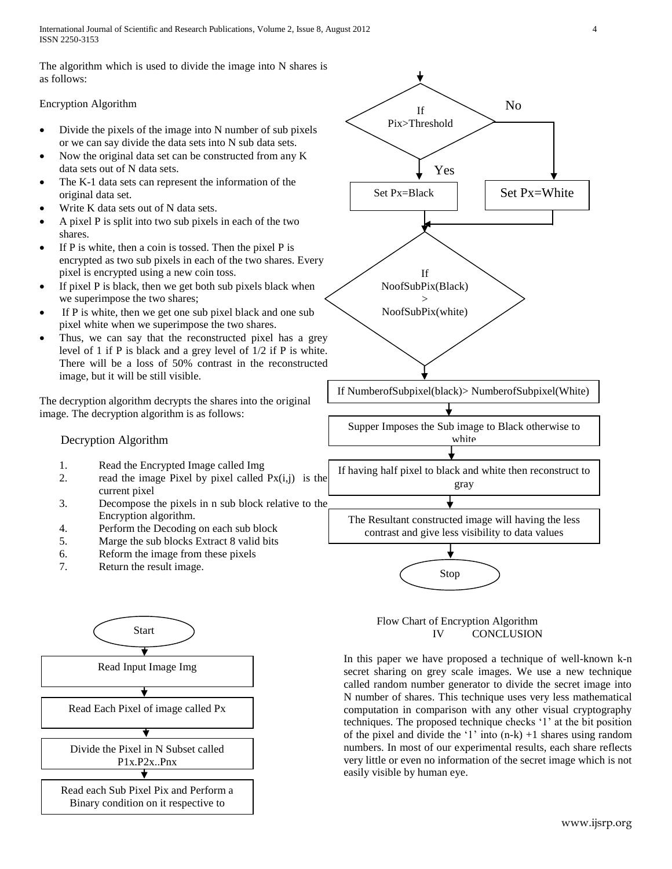International Journal of Scientific and Research Publications, Volume 2, Issue 8, August 2012 4 ISSN 2250-3153

The algorithm which is used to divide the image into N shares is as follows:

## Encryption Algorithm

- Divide the pixels of the image into N number of sub pixels or we can say divide the data sets into N sub data sets.
- Now the original data set can be constructed from any K data sets out of N data sets.
- The K-1 data sets can represent the information of the original data set.
- Write K data sets out of N data sets.
- A pixel P is split into two sub pixels in each of the two shares.
- If P is white, then a coin is tossed. Then the pixel P is encrypted as two sub pixels in each of the two shares. Every pixel is encrypted using a new coin toss.
- If pixel P is black, then we get both sub pixels black when we superimpose the two shares;
- If P is white, then we get one sub pixel black and one sub pixel white when we superimpose the two shares.
- Thus, we can say that the reconstructed pixel has a grey level of 1 if P is black and a grey level of 1/2 if P is white. There will be a loss of 50% contrast in the reconstructed image, but it will be still visible.

The decryption algorithm decrypts the shares into the original image. The decryption algorithm is as follows:

# Decryption Algorithm

- 1. Read the Encrypted Image called Img
- 2. read the image Pixel by pixel called  $Px(i,j)$  is the current pixel
- 3. Decompose the pixels in n sub block relative to the Encryption algorithm.
- 4. Perform the Decoding on each sub block
- 5. Marge the sub blocks Extract 8 valid bits
- 6. Reform the image from these pixels
- 7. Return the result image.





 Flow Chart of Encryption Algorithm IV CONCLUSION

In this paper we have proposed a technique of well-known k-n secret sharing on grey scale images. We use a new technique called random number generator to divide the secret image into N number of shares. This technique uses very less mathematical computation in comparison with any other visual cryptography techniques. The proposed technique checks "1" at the bit position of the pixel and divide the '1' into  $(n-k) + 1$  shares using random numbers. In most of our experimental results, each share reflects very little or even no information of the secret image which is not easily visible by human eye.